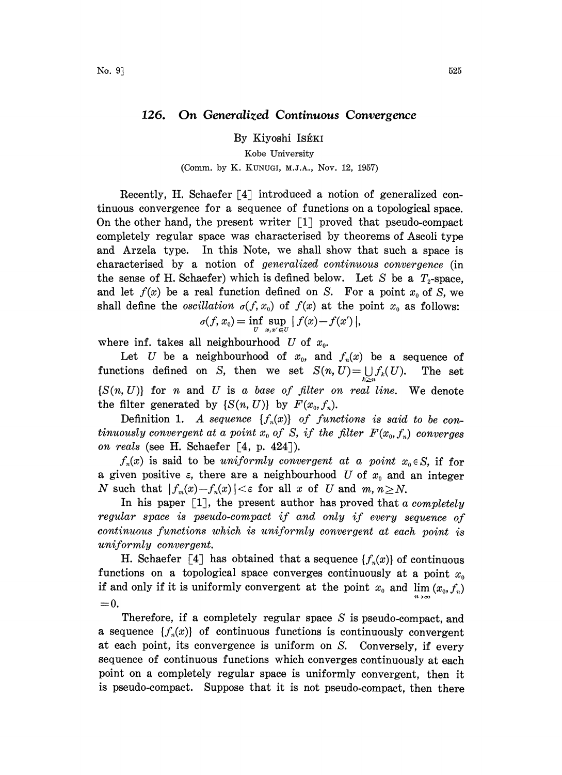## 126. On Generalized Continuous Convergence

By Kiyoshi IsÉKI

## Kobe University

## (Comm. by K. KUNUGI, M.J.A., Nov. 12, 1957)

Recently, H. Schaefer  $[4]$  introduced a notion of generalized continuous convergence for a sequence of functions on a topological space. On the other hand, the present writer  $\lceil 1 \rceil$  proved that pseudo-compact completely regular space was characterised by theorems of Ascoli type and Arzela type. In this Note, we shall show that such a space is characterised by a notion of generalized continuous convergence (in the sense of H. Schaefer) which is defined below. Let S be a  $T_2$ -space, and let  $f(x)$  be a real function defined on S. For a point  $x_0$  of S, we shall define the *oscillation*  $\sigma(f, x_0)$  of  $f(x)$  at the point  $x_0$  as follows:  $\sigma(f,x_0)=\inf_{U}\sup_{x,x'\in U}\mid f(x)-f(x')\mid,$ 

where inf. takes all neighbourhood U of  $x_0$ .

Let U be a neighbourhood of  $x_0$ , and  $f_n(x)$  be a sequence of functions defined on S, then we set  $S(n, U) = \bigcup_{k \geq n} f_k(U)$ . The set  $\{S(n, U)\}\$  for n and U is a base of filter on real line. We denote the filter generated by  $\{S(n, U)\}\$  by  $F(x_0, f_n)$ .

Definition 1. A sequence  $\{f_n(x)\}\$  of functions is said to be continuously convergent at a point  $x_0$  of S, if the filter  $F(x_0, f_n)$  converges on reals (see H. Schaefer  $[4, p. 424]$ ).

 $f_n(x)$  is said to be uniformly convergent at a point  $x_0 \in S$ , if for a given positive  $\varepsilon$ , there are a neighbourhood U of  $x_0$  and an integer N such that  $|f_m(x)-f_n(x)| < \varepsilon$  for all x of U and  $m, n \ge N$ .

In his paper  $\lceil 1 \rceil$ , the present author has proved that a completely regular space is pseudo-compact if and only if every sequence of continuous functions which is uniformly convergent at each point is uniformly convergent.

H. Schaefer [4] has obtained that a sequence  $\{f_n(x)\}\$  of continuous functions on a topological space converges continuously at a point  $x_0$ if and only if it is uniformly convergent at the point  $x_0$  and  $\lim (x_0, f_n)$  $=0.$ 

Therefore, if a completely regular space S is pseudo-compact, and a sequence  $\{f_n(x)\}\$  of continuous functions is continuously convergent at each point, its convergence is uniform on S. Conversely, if every sequence of continuous functions which converges continuously at each point on a completely regular space is uniformly convergent, then it is pseudo-compact. Suppose that it is not pseudo-compact, then there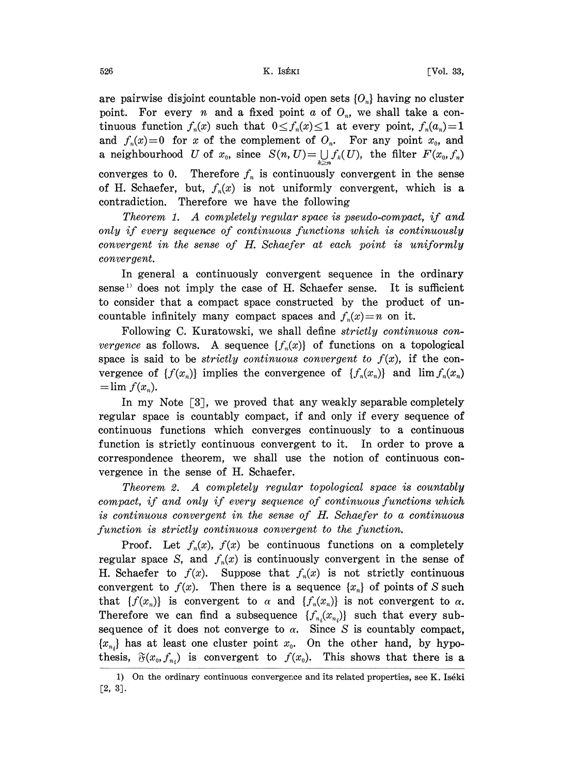are pairwise disjoint countable non-void open sets  $\{O_n\}$  having no cluster point. For every *n* and a fixed point  $a$  of  $O_n$ , we shall take a continuous function  $f_n(x)$  such that  $0 \le f_n(x) \le 1$  at every point,  $f_n(a_n)=1$ and  $f_n(x)=0$  for x of the complement of  $O_n$ . For any point  $x_0$ , and a neighbourhood U of  $x_0$ , since  $S(n, U) = \bigcup_{k>n} f_k(U)$ , the filter  $F(x_0, f_n)$ converges to 0. Therefore  $f_n$  is continuously convergent in the sense of H. Schaefer, but,  $f_n(x)$  is not uniformly convergent, which is a contradiction. Therefore we have the following

Theorem 1. A completely regular space is pseudo-compact, if and only if every sequence of continuous functions which is continuously convergent in the sense of H. Schaefer at each point is uniformly convergent.

In general a continuously convergent sequence in the ordinary sense<sup>1)</sup> does not imply the case of H. Schaefer sense. It is sufficient to consider that a compact space constructed by the product of uncountable infinitely many compact spaces and  $f_n(x)=n$  on it.

Following C. Kuratowski, we shall define *strictly continuous convergence* as follows. A sequence  $\{f_n(x)\}\$  of functions on a topological space is said to be *strictly continuous convergent to*  $f(x)$ , if the convergence of  $\{f(x_n)\}\$ implies the convergence of  $\{f_n(x_n)\}\$  and  $\lim f_n(x_n)$  $=$ lim  $f(x_n)$ .

In my Note  $\lceil 3 \rceil$ , we proved that any weakly separable completely regular space is countably compact, if and only if every sequence of continuous functions which converges continuously to a continuous function is strictly continuous convergent to it. In order to prove a correspondence theorem, we shall use the notion of continuous convergence in the sense of H. Schaefer.

Theorem 2. A completely regular topological space is countably compact, if and only if every sequence of continuous functions which is continuous convergent in the sense of H. Schaefer to a continuous function is strictly continuous convergent to the function.

Proof. Let  $f_n(x)$ ,  $f(x)$  be continuous functions on a completely regular space S, and  $f_n(x)$  is continuously convergent in the sense of H. Schaefer to  $f(x)$ . Suppose that  $f_n(x)$  is not strictly continuous convergent to  $f(x)$ . Then there is a sequence  $\{x_n\}$  of points of S such that  $\{f(x_n)\}\$ is convergent to  $\alpha$  and  $\{f_n(x_n)\}\$ is not convergent to  $\alpha$ . Therefore we can find a subsequence  $\{f_{n}(x_{n})\}$  such that every subsequence of it does not converge to  $\alpha$ . Since S is countably compact,  ${x_{n_i}}$  has at least one cluster point  $x_0$ . On the other hand, by hypothesis,  $\mathfrak{F}(x_0, f_{n_i})$  is convergent to  $f(x_0)$ . This shows that there is a

<sup>1)</sup> On the ordinary continuous convergence and its related properties, see K. Iséki E2, 3].